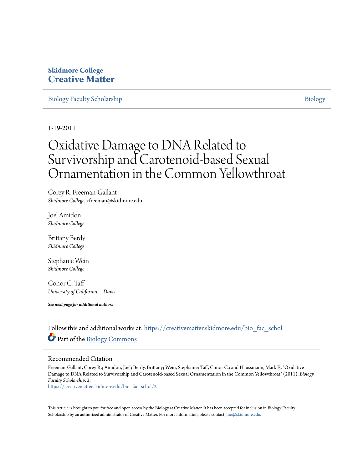## **Skidmore College [Creative Matter](https://creativematter.skidmore.edu?utm_source=creativematter.skidmore.edu%2Fbio_fac_schol%2F2&utm_medium=PDF&utm_campaign=PDFCoverPages)**

[Biology Faculty Scholarship](https://creativematter.skidmore.edu/bio_fac_schol?utm_source=creativematter.skidmore.edu%2Fbio_fac_schol%2F2&utm_medium=PDF&utm_campaign=PDFCoverPages) and the state of the state of the [Biology](https://creativematter.skidmore.edu/biology?utm_source=creativematter.skidmore.edu%2Fbio_fac_schol%2F2&utm_medium=PDF&utm_campaign=PDFCoverPages) Biology Biology

1-19-2011

# Oxidative Damage to DNA Related to Survivorship and Carotenoid-based Sexual Ornamentation in the Common Yellowthroat

Corey R. Freeman-Gallant *Skidmore College*, cfreeman@skidmore.edu

Joel Amidon *Skidmore College*

Brittany Berdy *Skidmore College*

Stephanie Wein *Skidmore College*

Conor C. Taff *University of California—Davis*

*See next page for additional authors*

Follow this and additional works at: [https://creativematter.skidmore.edu/bio\\_fac\\_schol](https://creativematter.skidmore.edu/bio_fac_schol?utm_source=creativematter.skidmore.edu%2Fbio_fac_schol%2F2&utm_medium=PDF&utm_campaign=PDFCoverPages) Part of the [Biology Commons](http://network.bepress.com/hgg/discipline/41?utm_source=creativematter.skidmore.edu%2Fbio_fac_schol%2F2&utm_medium=PDF&utm_campaign=PDFCoverPages)

### Recommended Citation

Freeman-Gallant, Corey R.; Amidon, Joel; Berdy, Brittany; Wein, Stephanie; Taff, Conor C.; and Haussmann, Mark F., "Oxidative Damage to DNA Related to Survivorship and Carotenoid-based Sexual Ornamentation in the Common Yellowthroat" (2011). *Biology Faculty Scholarship*. 2.

[https://creativematter.skidmore.edu/bio\\_fac\\_schol/2](https://creativematter.skidmore.edu/bio_fac_schol/2?utm_source=creativematter.skidmore.edu%2Fbio_fac_schol%2F2&utm_medium=PDF&utm_campaign=PDFCoverPages)

This Article is brought to you for free and open access by the Biology at Creative Matter. It has been accepted for inclusion in Biology Faculty Scholarship by an authorized administrator of Creative Matter. For more information, please contact [jluo@skidmore.edu](mailto:jluo@skidmore.edu).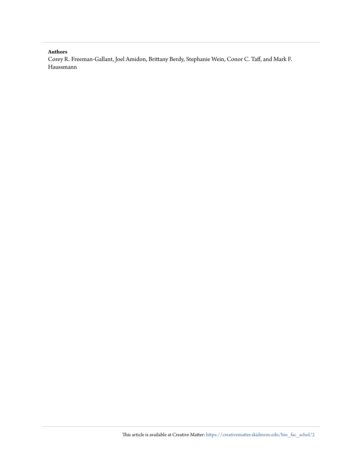#### **Authors**

Corey R. Freeman-Gallant, Joel Amidon, Brittany Berdy, Stephanie Wein, Conor C. Taff, and Mark F. Haussmann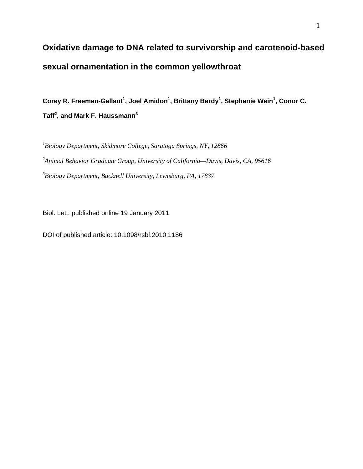# **Oxidative damage to DNA related to survivorship and carotenoid-based sexual ornamentation in the common yellowthroat**

**Corey R. Freeman-Gallant<sup>1</sup> , Joel Amidon<sup>1</sup> , Brittany Berdy<sup>1</sup> , Stephanie Wein<sup>1</sup> , Conor C. Taff<sup>2</sup> , and Mark F. Haussmann<sup>3</sup>**

*1 Biology Department, Skidmore College, Saratoga Springs, NY, 12866 2 Animal Behavior Graduate Group, University of California—Davis, Davis, CA, 95616 3 Biology Department, Bucknell University, Lewisburg, PA, 17837*

Biol. Lett. published online 19 January 2011

DOI of published article: 10.1098/rsbl.2010.1186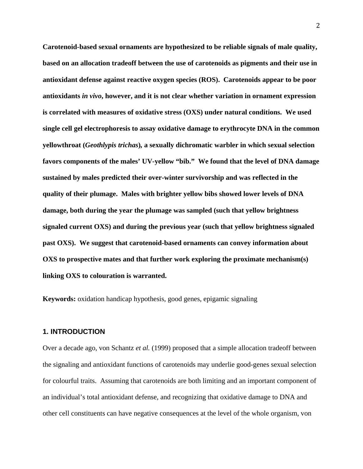**Carotenoid-based sexual ornaments are hypothesized to be reliable signals of male quality, based on an allocation tradeoff between the use of carotenoids as pigments and their use in antioxidant defense against reactive oxygen species (ROS). Carotenoids appear to be poor antioxidants** *in vivo***, however, and it is not clear whether variation in ornament expression is correlated with measures of oxidative stress (OXS) under natural conditions. We used single cell gel electrophoresis to assay oxidative damage to erythrocyte DNA in the common yellowthroat (***Geothlypis trichas***)***,* **a sexually dichromatic warbler in which sexual selection favors components of the males' UV-yellow "bib." We found that the level of DNA damage sustained by males predicted their over-winter survivorship and was reflected in the quality of their plumage. Males with brighter yellow bibs showed lower levels of DNA damage, both during the year the plumage was sampled (such that yellow brightness signaled current OXS) and during the previous year (such that yellow brightness signaled past OXS). We suggest that carotenoid-based ornaments can convey information about OXS to prospective mates and that further work exploring the proximate mechanism(s) linking OXS to colouration is warranted.**

**Keywords:** oxidation handicap hypothesis, good genes, epigamic signaling

#### **1. INTRODUCTION**

Over a decade ago, von Schantz *et al.* (1999) proposed that a simple allocation tradeoff between the signaling and antioxidant functions of carotenoids may underlie good-genes sexual selection for colourful traits. Assuming that carotenoids are both limiting and an important component of an individual's total antioxidant defense, and recognizing that oxidative damage to DNA and other cell constituents can have negative consequences at the level of the whole organism, von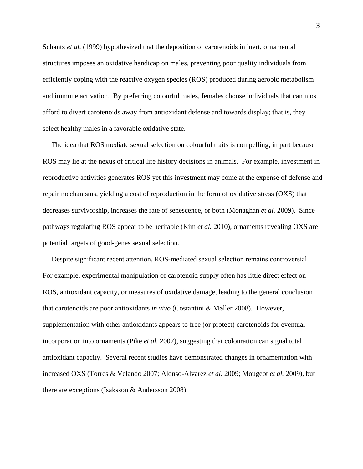Schantz *et al.* (1999) hypothesized that the deposition of carotenoids in inert, ornamental structures imposes an oxidative handicap on males, preventing poor quality individuals from efficiently coping with the reactive oxygen species (ROS) produced during aerobic metabolism and immune activation. By preferring colourful males, females choose individuals that can most afford to divert carotenoids away from antioxidant defense and towards display; that is, they select healthy males in a favorable oxidative state.

 The idea that ROS mediate sexual selection on colourful traits is compelling, in part because ROS may lie at the nexus of critical life history decisions in animals. For example, investment in reproductive activities generates ROS yet this investment may come at the expense of defense and repair mechanisms, yielding a cost of reproduction in the form of oxidative stress (OXS) that decreases survivorship, increases the rate of senescence, or both (Monaghan *et al.* 2009). Since pathways regulating ROS appear to be heritable (Kim *et al.* 2010), ornaments revealing OXS are potential targets of good-genes sexual selection.

 Despite significant recent attention, ROS-mediated sexual selection remains controversial. For example, experimental manipulation of carotenoid supply often has little direct effect on ROS, antioxidant capacity, or measures of oxidative damage, leading to the general conclusion that carotenoids are poor antioxidants *in vivo* (Costantini & Møller 2008). However, supplementation with other antioxidants appears to free (or protect) carotenoids for eventual incorporation into ornaments (Pike *et al.* 2007), suggesting that colouration can signal total antioxidant capacity. Several recent studies have demonstrated changes in ornamentation with increased OXS (Torres & Velando 2007; Alonso-Alvarez *et al.* 2009; Mougeot *et al.* 2009), but there are exceptions (Isaksson & Andersson 2008).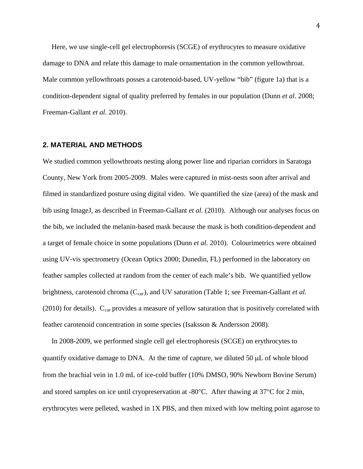Here, we use single-cell gel electrophoresis (SCGE) of erythrocytes to measure oxidative damage to DNA and relate this damage to male ornamentation in the common yellowthroat. Male common yellowthroats posses a carotenoid-based, UV-yellow "bib" (figure 1a) that is a condition-dependent signal of quality preferred by females in our population (Dunn *et al.* 2008; Freeman-Gallant *et al.* 2010).

### **2. MATERIAL AND METHODS**

We studied common yellowthroats nesting along power line and riparian corridors in Saratoga County, New York from 2005-2009. Males were captured in mist-nests soon after arrival and filmed in standardized posture using digital video. We quantified the size (area) of the mask and bib using ImageJ, as described in Freeman-Gallant *et al.* (2010). Although our analyses focus on the bib, we included the melanin-based mask because the mask is both condition-dependent and a target of female choice in some populations (Dunn *et al.* 2010). Colourimetrics were obtained using UV-vis spectrometry (Ocean Optics 2000; Dunedin, FL) performed in the laboratory on feather samples collected at random from the center of each male's bib. We quantified yellow brightness, carotenoid chroma (C<sub>car</sub>), and UV saturation (Table 1; see Freeman-Gallant *et al.* (2010) for details).  $C_{car}$  provides a measure of yellow saturation that is positively correlated with feather carotenoid concentration in some species (Isaksson & Andersson 2008).

 In 2008-2009, we performed single cell gel electrophoresis (SCGE) on erythrocytes to quantify oxidative damage to DNA. At the time of capture, we diluted 50  $\mu$ L of whole blood from the brachial vein in 1.0 mL of ice-cold buffer (10% DMSO, 90% Newborn Bovine Serum) and stored samples on ice until cryopreservation at -80°C. After thawing at 37°C for 2 min, erythrocytes were pelleted, washed in 1X PBS, and then mixed with low melting point agarose to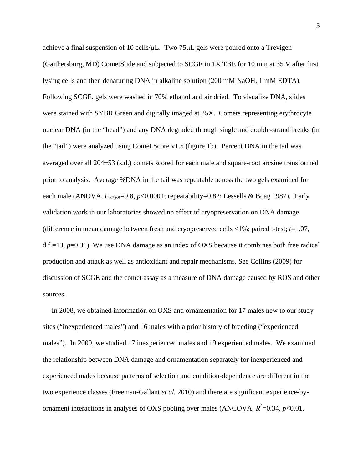achieve a final suspension of 10 cells/µL. Two 75µL gels were poured onto a Trevigen (Gaithersburg, MD) CometSlide and subjected to SCGE in 1X TBE for 10 min at 35 V after first lysing cells and then denaturing DNA in alkaline solution (200 mM NaOH, 1 mM EDTA). Following SCGE, gels were washed in 70% ethanol and air dried. To visualize DNA, slides were stained with SYBR Green and digitally imaged at 25X. Comets representing erythrocyte nuclear DNA (in the "head") and any DNA degraded through single and double-strand breaks (in the "tail") were analyzed using Comet Score v1.5 (figure 1b). Percent DNA in the tail was averaged over all 204±53 (s.d.) comets scored for each male and square-root arcsine transformed prior to analysis. Average %DNA in the tail was repeatable across the two gels examined for each male (ANOVA,  $F_{67,68}=9.8$ ,  $p<0.0001$ ; repeatability=0.82; Lessells & Boag 1987). Early validation work in our laboratories showed no effect of cryopreservation on DNA damage (difference in mean damage between fresh and cryopreserved cells <1%; paired t-test; *t*=1.07, d.f.=13, *p*=0.31). We use DNA damage as an index of OXS because it combines both free radical production and attack as well as antioxidant and repair mechanisms. See Collins (2009) for discussion of SCGE and the comet assay as a measure of DNA damage caused by ROS and other sources.

 In 2008, we obtained information on OXS and ornamentation for 17 males new to our study sites ("inexperienced males") and 16 males with a prior history of breeding ("experienced males"). In 2009, we studied 17 inexperienced males and 19 experienced males. We examined the relationship between DNA damage and ornamentation separately for inexperienced and experienced males because patterns of selection and condition-dependence are different in the two experience classes (Freeman-Gallant *et al.* 2010) and there are significant experience-byornament interactions in analyses of OXS pooling over males (ANCOVA,  $R^2$ =0.34,  $p$ <0.01,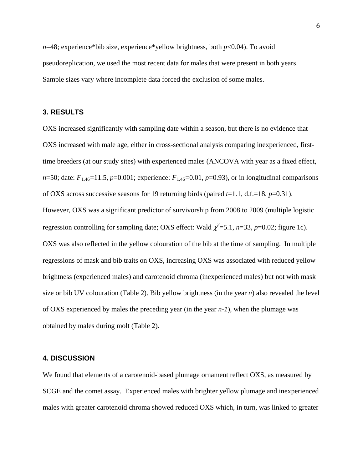*n*=48; experience\*bib size, experience\*yellow brightness, both *p*<0.04). To avoid pseudoreplication, we used the most recent data for males that were present in both years. Sample sizes vary where incomplete data forced the exclusion of some males.

### **3. RESULTS**

OXS increased significantly with sampling date within a season, but there is no evidence that OXS increased with male age, either in cross-sectional analysis comparing inexperienced, firsttime breeders (at our study sites) with experienced males (ANCOVA with year as a fixed effect, *n*=50; date:  $F_{1,46}$ =11.5, *p*=0.001; experience:  $F_{1,46}$ =0.01, *p*=0.93), or in longitudinal comparisons of OXS across successive seasons for 19 returning birds (paired *t*=1.1, d.f.=18, *p*=0.31). However, OXS was a significant predictor of survivorship from 2008 to 2009 (multiple logistic regression controlling for sampling date; OXS effect: Wald  $\chi^2$ =5.1, *n*=33, *p*=0.02; figure 1c). OXS was also reflected in the yellow colouration of the bib at the time of sampling. In multiple regressions of mask and bib traits on OXS, increasing OXS was associated with reduced yellow brightness (experienced males) and carotenoid chroma (inexperienced males) but not with mask size or bib UV colouration (Table 2). Bib yellow brightness (in the year *n*) also revealed the level of OXS experienced by males the preceding year (in the year *n-1*), when the plumage was obtained by males during molt (Table 2).

### **4. DISCUSSION**

We found that elements of a carotenoid-based plumage ornament reflect OXS, as measured by SCGE and the comet assay. Experienced males with brighter yellow plumage and inexperienced males with greater carotenoid chroma showed reduced OXS which, in turn, was linked to greater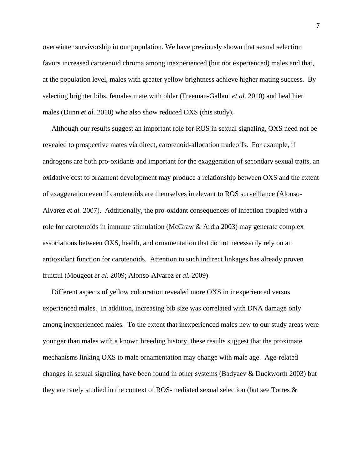overwinter survivorship in our population. We have previously shown that sexual selection favors increased carotenoid chroma among inexperienced (but not experienced) males and that, at the population level, males with greater yellow brightness achieve higher mating success. By selecting brighter bibs, females mate with older (Freeman-Gallant *et al.* 2010) and healthier males (Dunn *et al.* 2010) who also show reduced OXS (this study).

 Although our results suggest an important role for ROS in sexual signaling, OXS need not be revealed to prospective mates via direct, carotenoid-allocation tradeoffs. For example, if androgens are both pro-oxidants and important for the exaggeration of secondary sexual traits, an oxidative cost to ornament development may produce a relationship between OXS and the extent of exaggeration even if carotenoids are themselves irrelevant to ROS surveillance (Alonso-Alvarez *et al.* 2007). Additionally, the pro-oxidant consequences of infection coupled with a role for carotenoids in immune stimulation (McGraw & Ardia 2003) may generate complex associations between OXS, health, and ornamentation that do not necessarily rely on an antioxidant function for carotenoids. Attention to such indirect linkages has already proven fruitful (Mougeot *et al.* 2009; Alonso-Alvarez *et al.* 2009).

 Different aspects of yellow colouration revealed more OXS in inexperienced versus experienced males. In addition, increasing bib size was correlated with DNA damage only among inexperienced males. To the extent that inexperienced males new to our study areas were younger than males with a known breeding history, these results suggest that the proximate mechanisms linking OXS to male ornamentation may change with male age. Age-related changes in sexual signaling have been found in other systems (Badyaev & Duckworth 2003) but they are rarely studied in the context of ROS-mediated sexual selection (but see Torres &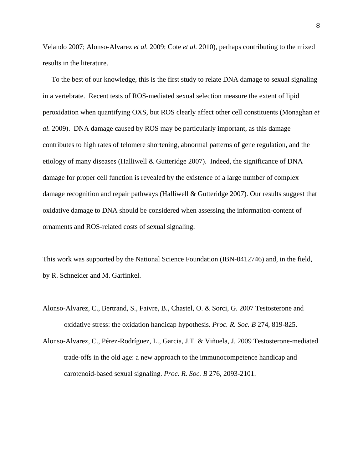Velando 2007; Alonso-Alvarez *et al.* 2009; Cote *et al.* 2010), perhaps contributing to the mixed results in the literature.

 To the best of our knowledge, this is the first study to relate DNA damage to sexual signaling in a vertebrate. Recent tests of ROS-mediated sexual selection measure the extent of lipid peroxidation when quantifying OXS, but ROS clearly affect other cell constituents (Monaghan *et al.* 2009). DNA damage caused by ROS may be particularly important, as this damage contributes to high rates of telomere shortening, abnormal patterns of gene regulation, and the etiology of many diseases (Halliwell & Gutteridge 2007). Indeed, the significance of DNA damage for proper cell function is revealed by the existence of a large number of complex damage recognition and repair pathways (Halliwell & Gutteridge 2007). Our results suggest that oxidative damage to DNA should be considered when assessing the information-content of ornaments and ROS-related costs of sexual signaling.

This work was supported by the National Science Foundation (IBN-0412746) and, in the field, by R. Schneider and M. Garfinkel.

- Alonso-Alvarez, C., Bertrand, S., Faivre, B., Chastel, O. & Sorci, G. 2007 Testosterone and oxidative stress: the oxidation handicap hypothesis. *Proc. R. Soc. B* 274, 819-825.
- Alonso-Alvarez, C., Pérez-Rodríguez, L., Garcia, J.T. & Viñuela, J. 2009 Testosterone-mediated trade-offs in the old age: a new approach to the immunocompetence handicap and carotenoid-based sexual signaling. *Proc. R. Soc. B* 276, 2093-2101.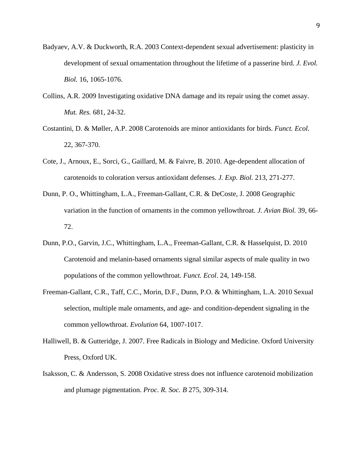- Badyaev, A.V. & Duckworth, R.A. 2003 Context-dependent sexual advertisement: plasticity in development of sexual ornamentation throughout the lifetime of a passerine bird. *J. Evol. Biol.* 16, 1065-1076.
- Collins, A.R. 2009 Investigating oxidative DNA damage and its repair using the comet assay. *Mut. Res.* 681, 24-32.
- Costantini, D. & Møller, A.P. 2008 Carotenoids are minor antioxidants for birds. *Funct. Ecol.* 22, 367-370.
- Cote, J., Arnoux, E., Sorci, G., Gaillard, M. & Faivre, B. 2010. Age-dependent allocation of carotenoids to coloration versus antioxidant defenses. *J. Exp. Biol.* 213, 271-277.
- Dunn, P. O., Whittingham, L.A., Freeman-Gallant, C.R. & DeCoste, J. 2008 Geographic variation in the function of ornaments in the common yellowthroat. *J. Avian Biol.* 39, 66- 72.
- Dunn, P.O., Garvin, J.C., Whittingham, L.A., Freeman-Gallant, C.R. & Hasselquist, D. 2010 Carotenoid and melanin-based ornaments signal similar aspects of male quality in two populations of the common yellowthroat. *Funct. Ecol*. 24, 149-158.
- Freeman-Gallant, C.R., Taff, C.C., Morin, D.F., Dunn, P.O. & Whittingham, L.A. 2010 Sexual selection, multiple male ornaments, and age- and condition-dependent signaling in the common yellowthroat. *Evolution* 64, 1007-1017.
- Halliwell, B. & Gutteridge, J. 2007. Free Radicals in Biology and Medicine. Oxford University Press, Oxford UK.
- Isaksson, C. & Andersson, S. 2008 Oxidative stress does not influence carotenoid mobilization and plumage pigmentation. *Proc. R. Soc. B* 275, 309-314.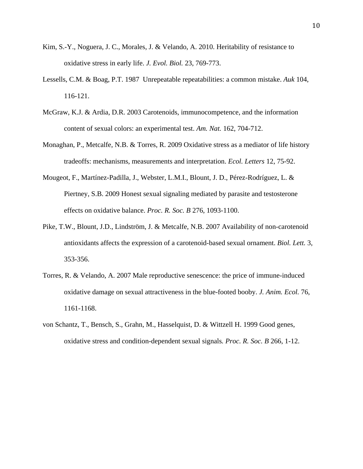- Kim, S.-Y., Noguera, J. C., Morales, J. & Velando, A. 2010. Heritability of resistance to oxidative stress in early life. *J. Evol. Biol.* 23, 769-773.
- Lessells, C.M. & Boag, P.T. 1987 Unrepeatable repeatabilities: a common mistake. *Auk* 104, 116-121.
- McGraw, K.J. & Ardia, D.R. 2003 Carotenoids, immunocompetence, and the information content of sexual colors: an experimental test. *Am. Nat.* 162, 704-712.
- Monaghan, P., Metcalfe, N.B. & Torres, R. 2009 Oxidative stress as a mediator of life history tradeoffs: mechanisms, measurements and interpretation. *Ecol. Letters* 12, 75-92.
- Mougeot, F., Martínez-Padilla, J., Webster, L.M.I., Blount, J. D., Pérez-Rodríguez, L. & Piertney, S.B. 2009 Honest sexual signaling mediated by parasite and testosterone effects on oxidative balance. *Proc. R. Soc. B* 276, 1093-1100.
- Pike, T.W., Blount, J.D., Lindström, J. & Metcalfe, N.B. 2007 Availability of non-carotenoid antioxidants affects the expression of a carotenoid-based sexual ornament. *Biol. Lett.* 3, 353-356.
- Torres, R. & Velando, A. 2007 Male reproductive senescence: the price of immune-induced oxidative damage on sexual attractiveness in the blue-footed booby. *J. Anim. Ecol.* 76, 1161-1168.
- von Schantz, T., Bensch, S., Grahn, M., Hasselquist, D. & Wittzell H. 1999 Good genes, oxidative stress and condition-dependent sexual signals*. Proc. R. Soc. B* 266, 1-12.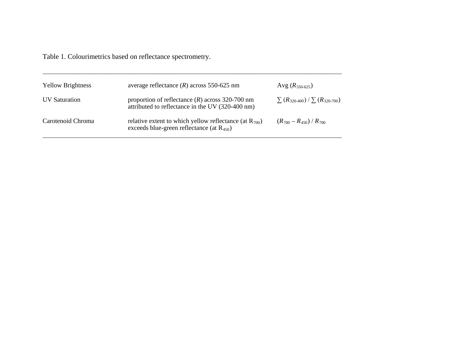Table 1. Colourimetrics based on reflectance spectrometry.

| <b>Yellow Brightness</b> | average reflectance $(R)$ across 550-625 nm                                                                   | Avg $(R_{550-625})$                       |
|--------------------------|---------------------------------------------------------------------------------------------------------------|-------------------------------------------|
| <b>IJV</b> Saturation    | proportion of reflectance $(R)$ across 320-700 nm<br>attributed to reflectance in the UV (320-400 nm)         | $\sum (R_{320-400}) / \sum (R_{320-700})$ |
| Carotenoid Chroma        | relative extent to which yellow reflectance (at $R_{700}$ )<br>exceeds blue-green reflectance (at $R_{450}$ ) | $(R_{700} - R_{450}) / R_{700}$           |

\_\_\_\_\_\_\_\_\_\_\_\_\_\_\_\_\_\_\_\_\_\_\_\_\_\_\_\_\_\_\_\_\_\_\_\_\_\_\_\_\_\_\_\_\_\_\_\_\_\_\_\_\_\_\_\_\_\_\_\_\_\_\_\_\_\_\_\_\_\_\_\_\_\_\_\_\_\_\_\_\_\_\_\_\_\_\_\_\_\_\_\_\_\_\_\_\_\_\_\_\_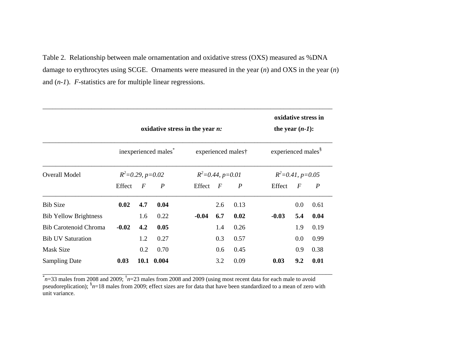Table 2. Relationship between male ornamentation and oxidative stress (OXS) measured as %DNA damage to erythrocytes using SCGE. Ornaments were measured in the year (*n*) and OXS in the year (*n*) and (*n-1*). *F*-statistics are for multiple linear regressions.

|                              |                                  | oxidative stress in the year $n$ : |                  |                                                 |          |                  | oxidative stress in<br>the year $(n-1)$ :<br>experienced males <sup>§</sup><br>$R^2 = 0.41$ , $p = 0.05$ |                  |                  |
|------------------------------|----------------------------------|------------------------------------|------------------|-------------------------------------------------|----------|------------------|----------------------------------------------------------------------------------------------------------|------------------|------------------|
| <b>Overall Model</b>         | inexperienced males <sup>®</sup> |                                    |                  | experienced males†<br>$R^2 = 0.44$ , $p = 0.01$ |          |                  |                                                                                                          |                  |                  |
|                              | $R^2=0.29$ , $p=0.02$            |                                    |                  |                                                 |          |                  |                                                                                                          |                  |                  |
|                              | Effect                           | $\boldsymbol{F}$                   | $\boldsymbol{P}$ | Effect                                          | $\bm{F}$ | $\boldsymbol{P}$ | Effect                                                                                                   | $\boldsymbol{F}$ | $\boldsymbol{P}$ |
| <b>Bib Size</b>              | 0.02                             | 4.7                                | 0.04             |                                                 | 2.6      | 0.13             |                                                                                                          | 0.0              | 0.61             |
| <b>Bib Yellow Brightness</b> |                                  | 1.6                                | 0.22             | $-0.04$                                         | 6.7      | 0.02             | $-0.03$                                                                                                  | 5.4              | 0.04             |
| <b>Bib Carotenoid Chroma</b> | $-0.02$                          | 4.2                                | 0.05             |                                                 | 1.4      | 0.26             |                                                                                                          | 1.9              | 0.19             |
| <b>Bib UV Saturation</b>     |                                  | 1.2                                | 0.27             |                                                 | 0.3      | 0.57             |                                                                                                          | 0.0              | 0.99             |
| <b>Mask Size</b>             |                                  | 0.2                                | 0.70             |                                                 | 0.6      | 0.45             |                                                                                                          | 0.9              | 0.38             |
| <b>Sampling Date</b>         | 0.03                             |                                    | 10.1 0.004       |                                                 | 3.2      | 0.09             | 0.03                                                                                                     | 9.2              | 0.01             |

 $\overline{\phi}_{n=33}^*$  males from 2008 and 2009;  $\overline{\phi}_{n=23}^*$  males from 2008 and 2009 (using most recent data for each male to avoid pseudoreplication); <sup>§</sup>n=18 males from 2009; effect sizes are for data that have been standardized to a mean of zero with unit variance.